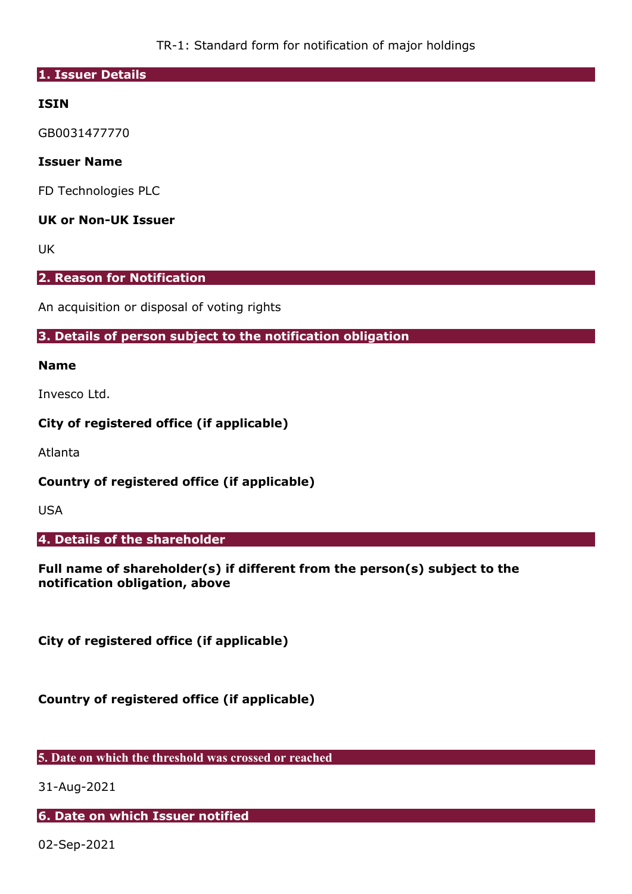TR-1: Standard form for notification of major holdings

#### **1. Issuer Details**

# **ISIN**

GB0031477770

## **Issuer Name**

FD Technologies PLC

# **UK or Non-UK Issuer**

UK

# **2. Reason for Notification**

An acquisition or disposal of voting rights

## **3. Details of person subject to the notification obligation**

#### **Name**

Invesco Ltd.

## **City of registered office (if applicable)**

Atlanta

**Country of registered office (if applicable)** 

USA

#### **4. Details of the shareholder**

**Full name of shareholder(s) if different from the person(s) subject to the notification obligation, above** 

**City of registered office (if applicable)** 

**Country of registered office (if applicable)** 

**5. Date on which the threshold was crossed or reached** 

31-Aug-2021

#### **6. Date on which Issuer notified**

02-Sep-2021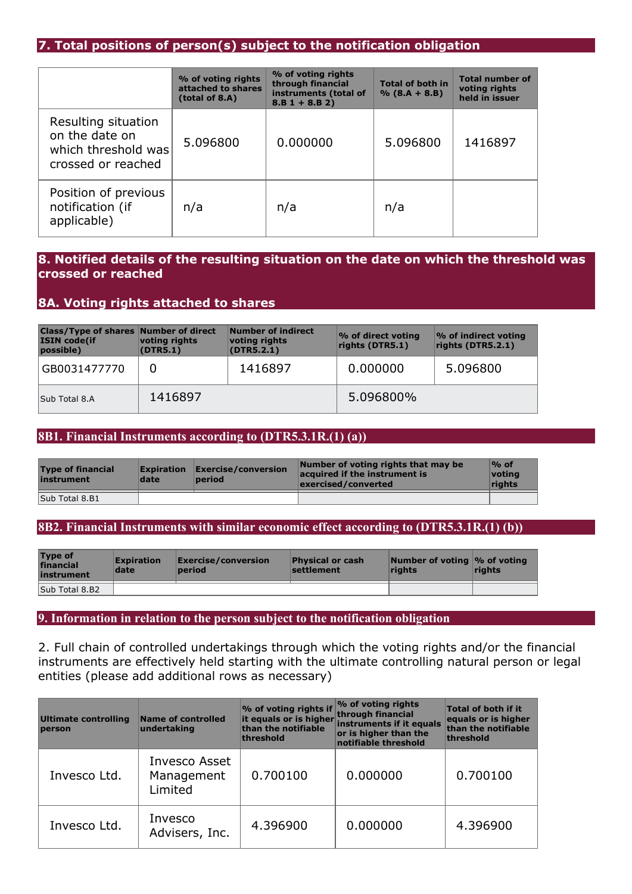# **7. Total positions of person(s) subject to the notification obligation**

|                                                                                    | % of voting rights<br>attached to shares<br>(total of 8.A) | % of voting rights<br>through financial<br>instruments (total of<br>$8.B 1 + 8.B 2)$ | <b>Total of both in</b><br>$% (8.A + 8.B)$ | <b>Total number of</b><br>voting rights<br>held in issuer |
|------------------------------------------------------------------------------------|------------------------------------------------------------|--------------------------------------------------------------------------------------|--------------------------------------------|-----------------------------------------------------------|
| Resulting situation<br>on the date on<br>which threshold was<br>crossed or reached | 5.096800                                                   | 0.000000                                                                             | 5.096800                                   | 1416897                                                   |
| Position of previous<br>notification (if<br>applicable)                            | n/a                                                        | n/a                                                                                  | n/a                                        |                                                           |

# **8. Notified details of the resulting situation on the date on which the threshold was crossed or reached**

# **8A. Voting rights attached to shares**

| <b>Class/Type of shares Number of direct</b><br><b>ISIN code(if</b><br>possible) | voting rights<br>(DTR5.1) | Number of indirect<br>voting rights<br>(DTR5.2.1) | % of direct voting<br>rights (DTR5.1) | % of indirect voting<br>rights (DTR5.2.1) |
|----------------------------------------------------------------------------------|---------------------------|---------------------------------------------------|---------------------------------------|-------------------------------------------|
| GB0031477770                                                                     |                           | 1416897                                           | 0.000000                              | 5.096800                                  |
| Sub Total 8.A                                                                    | 1416897                   |                                                   | 5.096800%                             |                                           |

## **8B1. Financial Instruments according to (DTR5.3.1R.(1) (a))**

| <b>Type of financial</b><br>instrument | <b>Expiration</b><br>date | $\mathsf{\mathsf{Exercise}/}\mathsf{conversion}$<br>period | Number of voting rights that may be<br>acquired if the instrument is<br>exercised/converted | $\mathcal{O}_0$ of<br>votina<br>rights |
|----------------------------------------|---------------------------|------------------------------------------------------------|---------------------------------------------------------------------------------------------|----------------------------------------|
| Sub Total 8.B1                         |                           |                                                            |                                                                                             |                                        |

#### **8B2. Financial Instruments with similar economic effect according to (DTR5.3.1R.(1) (b))**

| <b>Type of</b><br>financial<br>instrument | <b>Expiration</b><br>date | $\mathsf{\mathsf{Exercise}/}\mathsf{conversion}$<br>period | <b>Physical or cash</b><br>settlement | Number of voting $\%$ of voting<br>riahts | <b>rights</b> |
|-------------------------------------------|---------------------------|------------------------------------------------------------|---------------------------------------|-------------------------------------------|---------------|
| Sub Total 8.B2                            |                           |                                                            |                                       |                                           |               |

#### **9. Information in relation to the person subject to the notification obligation**

2. Full chain of controlled undertakings through which the voting rights and/or the financial instruments are effectively held starting with the ultimate controlling natural person or legal entities (please add additional rows as necessary)

| Ultimate controlling<br>person | Name of controlled<br>undertaking      | % of voting rights if<br>than the notifiable<br>threshold | % of voting rights<br>through financial<br>it equals or is higher instruments if it equals<br>or is higher than the<br>notifiable threshold | Total of both if it<br>equals or is higher<br>than the notifiable<br>threshold |
|--------------------------------|----------------------------------------|-----------------------------------------------------------|---------------------------------------------------------------------------------------------------------------------------------------------|--------------------------------------------------------------------------------|
| Invesco Ltd.                   | Invesco Asset<br>Management<br>Limited | 0.700100                                                  | 0.000000                                                                                                                                    | 0.700100                                                                       |
| Invesco Ltd.                   | Invesco<br>Advisers, Inc.              | 4.396900                                                  | 0.000000                                                                                                                                    | 4.396900                                                                       |